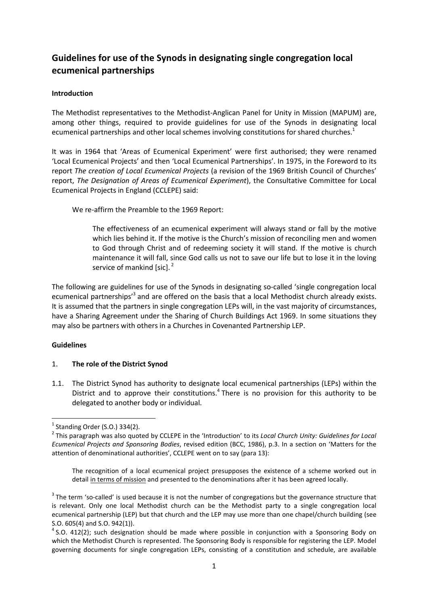# Guidelines for use of the Synods in designating single congregation local ecumenical partnerships

## Introduction

The Methodist representatives to the Methodist-Anglican Panel for Unity in Mission (MAPUM) are, among other things, required to provide guidelines for use of the Synods in designating local ecumenical partnerships and other local schemes involving constitutions for shared churches.<sup>1</sup>

It was in 1964 that 'Areas of Ecumenical Experiment' were first authorised; they were renamed 'Local Ecumenical Projects' and then 'Local Ecumenical Partnerships'. In 1975, in the Foreword to its report The creation of Local Ecumenical Projects (a revision of the 1969 British Council of Churches' report, The Designation of Areas of Ecumenical Experiment), the Consultative Committee for Local Ecumenical Projects in England (CCLEPE) said:

We re-affirm the Preamble to the 1969 Report:

The effectiveness of an ecumenical experiment will always stand or fall by the motive which lies behind it. If the motive is the Church's mission of reconciling men and women to God through Christ and of redeeming society it will stand. If the motive is church maintenance it will fall, since God calls us not to save our life but to lose it in the loving service of mankind [sic]. $<sup>2</sup>$ </sup>

The following are guidelines for use of the Synods in designating so-called 'single congregation local ecumenical partnerships<sup>3</sup> and are offered on the basis that a local Methodist church already exists. It is assumed that the partners in single congregation LEPs will, in the vast majority of circumstances, have a Sharing Agreement under the Sharing of Church Buildings Act 1969. In some situations they may also be partners with others in a Churches in Covenanted Partnership LEP.

## Guidelines

 $\overline{\phantom{0}}$ 

#### 1. The role of the District Synod

1.1. The District Synod has authority to designate local ecumenical partnerships (LEPs) within the District and to approve their constitutions.<sup>4</sup> There is no provision for this authority to be delegated to another body or individual.

The recognition of a local ecumenical project presupposes the existence of a scheme worked out in detail in terms of mission and presented to the denominations after it has been agreed locally.

 $<sup>1</sup>$  Standing Order (S.O.) 334(2).</sup>

<sup>&</sup>lt;sup>2</sup> This paragraph was also quoted by CCLEPE in the 'Introduction' to its Local Church Unity: Guidelines for Local Ecumenical Projects and Sponsoring Bodies, revised edition (BCC, 1986), p.3. In a section on 'Matters for the attention of denominational authorities', CCLEPE went on to say (para 13):

 $3$  The term 'so-called' is used because it is not the number of congregations but the governance structure that is relevant. Only one local Methodist church can be the Methodist party to a single congregation local ecumenical partnership (LEP) but that church and the LEP may use more than one chapel/church building (see S.O. 605(4) and S.O. 942(1)).

 $<sup>4</sup>$  S.O. 412(2); such designation should be made where possible in conjunction with a Sponsoring Body on</sup> which the Methodist Church is represented. The Sponsoring Body is responsible for registering the LEP. Model governing documents for single congregation LEPs, consisting of a constitution and schedule, are available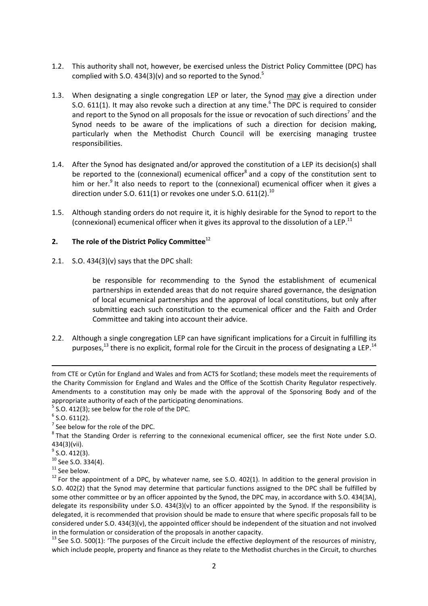- 1.2. This authority shall not, however, be exercised unless the District Policy Committee (DPC) has complied with S.O. 434(3)(v) and so reported to the Synod.<sup>5</sup>
- 1.3. When designating a single congregation LEP or later, the Synod may give a direction under S.O. 611(1). It may also revoke such a direction at any time.<sup>6</sup> The DPC is required to consider and report to the Synod on all proposals for the issue or revocation of such directions<sup>7</sup> and the Synod needs to be aware of the implications of such a direction for decision making, particularly when the Methodist Church Council will be exercising managing trustee responsibilities.
- 1.4. After the Synod has designated and/or approved the constitution of a LEP its decision(s) shall be reported to the (connexional) ecumenical officer<sup>8</sup> and a copy of the constitution sent to him or her.<sup>9</sup> It also needs to report to the (connexional) ecumenical officer when it gives a direction under S.O. 611(1) or revokes one under S.O. 611(2). $^{10}$
- 1.5. Although standing orders do not require it, it is highly desirable for the Synod to report to the (connexional) ecumenical officer when it gives its approval to the dissolution of a LEP.<sup>11</sup>

## 2. The role of the District Policy Committee $^{12}$

2.1. S.O. 434(3)(v) says that the DPC shall:

be responsible for recommending to the Synod the establishment of ecumenical partnerships in extended areas that do not require shared governance, the designation of local ecumenical partnerships and the approval of local constitutions, but only after submitting each such constitution to the ecumenical officer and the Faith and Order Committee and taking into account their advice.

2.2. Although a single congregation LEP can have significant implications for a Circuit in fulfilling its purposes, $^{13}$  there is no explicit, formal role for the Circuit in the process of designating a LEP.<sup>14</sup>

from CTE or Cytûn for England and Wales and from ACTS for Scotland; these models meet the requirements of the Charity Commission for England and Wales and the Office of the Scottish Charity Regulator respectively. Amendments to a constitution may only be made with the approval of the Sponsoring Body and of the appropriate authority of each of the participating denominations.

 $5$  S.O. 412(3); see below for the role of the DPC.

 $\overline{a}$ 

 $7$  See below for the role of the DPC.

 $6$  S.O. 611(2).

 $8$ That the Standing Order is referring to the connexional ecumenical officer, see the first Note under S.O. 434(3)(vii).

 $9^9$  S.O. 412(3).

 $10$  See S.O. 334(4).

 $11$  See below.

 $12$  For the appointment of a DPC, by whatever name, see S.O. 402(1). In addition to the general provision in S.O. 402(2) that the Synod may determine that particular functions assigned to the DPC shall be fulfilled by some other committee or by an officer appointed by the Synod, the DPC may, in accordance with S.O. 434(3A), delegate its responsibility under S.O. 434(3)(v) to an officer appointed by the Synod. If the responsibility is delegated, it is recommended that provision should be made to ensure that where specific proposals fall to be considered under S.O. 434(3)(v), the appointed officer should be independent of the situation and not involved in the formulation or consideration of the proposals in another capacity.

 $13$  See S.O. 500(1): 'The purposes of the Circuit include the effective deployment of the resources of ministry, which include people, property and finance as they relate to the Methodist churches in the Circuit, to churches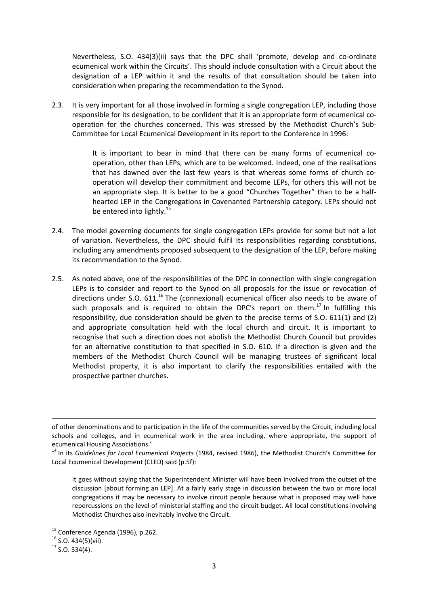Nevertheless, S.O. 434(3)(ii) says that the DPC shall 'promote, develop and co-ordinate ecumenical work within the Circuits'. This should include consultation with a Circuit about the designation of a LEP within it and the results of that consultation should be taken into consideration when preparing the recommendation to the Synod.

2.3. It is very important for all those involved in forming a single congregation LEP, including those responsible for its designation, to be confident that it is an appropriate form of ecumenical cooperation for the churches concerned. This was stressed by the Methodist Church's Sub-Committee for Local Ecumenical Development in its report to the Conference in 1996:

> It is important to bear in mind that there can be many forms of ecumenical cooperation, other than LEPs, which are to be welcomed. Indeed, one of the realisations that has dawned over the last few years is that whereas some forms of church cooperation will develop their commitment and become LEPs, for others this will not be an appropriate step. It is better to be a good "Churches Together" than to be a halfhearted LEP in the Congregations in Covenanted Partnership category. LEPs should not be entered into lightly.<sup>15</sup>

- 2.4. The model governing documents for single congregation LEPs provide for some but not a lot of variation. Nevertheless, the DPC should fulfil its responsibilities regarding constitutions, including any amendments proposed subsequent to the designation of the LEP, before making its recommendation to the Synod.
- 2.5. As noted above, one of the responsibilities of the DPC in connection with single congregation LEPs is to consider and report to the Synod on all proposals for the issue or revocation of directions under S.O.  $611<sup>16</sup>$  The (connexional) ecumenical officer also needs to be aware of such proposals and is required to obtain the DPC's report on them.<sup>17</sup> In fulfilling this responsibility, due consideration should be given to the precise terms of S.O. 611(1) and (2) and appropriate consultation held with the local church and circuit. It is important to recognise that such a direction does not abolish the Methodist Church Council but provides for an alternative constitution to that specified in S.O. 610. If a direction is given and the members of the Methodist Church Council will be managing trustees of significant local Methodist property, it is also important to clarify the responsibilities entailed with the prospective partner churches.

It goes without saying that the Superintendent Minister will have been involved from the outset of the discussion [about forming an LEP]. At a fairly early stage in discussion between the two or more local congregations it may be necessary to involve circuit people because what is proposed may well have repercussions on the level of ministerial staffing and the circuit budget. All local constitutions involving Methodist Churches also inevitably involve the Circuit.

 $\overline{\phantom{0}}$ 

of other denominations and to participation in the life of the communities served by the Circuit, including local schools and colleges, and in ecumenical work in the area including, where appropriate, the support of ecumenical Housing Associations.'

<sup>&</sup>lt;sup>14</sup> In its Guidelines for Local Ecumenical Projects (1984, revised 1986), the Methodist Church's Committee for Local Ecumenical Development (CLED) said (p.5f):

<sup>&</sup>lt;sup>15</sup> Conference Agenda (1996), p.262.

 $16$  S.O. 434(5)(vii).

 $17$  S.O. 334(4).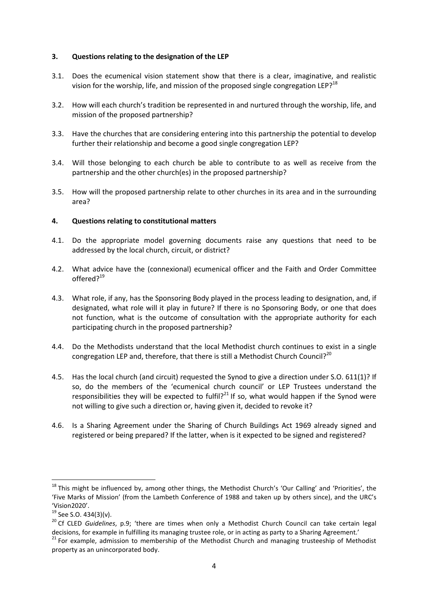#### 3. Questions relating to the designation of the LEP

- 3.1. Does the ecumenical vision statement show that there is a clear, imaginative, and realistic vision for the worship, life, and mission of the proposed single congregation LEP?<sup>18</sup>
- 3.2. How will each church's tradition be represented in and nurtured through the worship, life, and mission of the proposed partnership?
- 3.3. Have the churches that are considering entering into this partnership the potential to develop further their relationship and become a good single congregation LEP?
- 3.4. Will those belonging to each church be able to contribute to as well as receive from the partnership and the other church(es) in the proposed partnership?
- 3.5. How will the proposed partnership relate to other churches in its area and in the surrounding area?

## 4. Questions relating to constitutional matters

- 4.1. Do the appropriate model governing documents raise any questions that need to be addressed by the local church, circuit, or district?
- 4.2. What advice have the (connexional) ecumenical officer and the Faith and Order Committee offered?<sup>19</sup>
- 4.3. What role, if any, has the Sponsoring Body played in the process leading to designation, and, if designated, what role will it play in future? If there is no Sponsoring Body, or one that does not function, what is the outcome of consultation with the appropriate authority for each participating church in the proposed partnership?
- 4.4. Do the Methodists understand that the local Methodist church continues to exist in a single congregation LEP and, therefore, that there is still a Methodist Church Council?<sup>20</sup>
- 4.5. Has the local church (and circuit) requested the Synod to give a direction under S.O. 611(1)? If so, do the members of the 'ecumenical church council' or LEP Trustees understand the responsibilities they will be expected to fulfil?<sup>21</sup> If so, what would happen if the Synod were not willing to give such a direction or, having given it, decided to revoke it?
- 4.6. Is a Sharing Agreement under the Sharing of Church Buildings Act 1969 already signed and registered or being prepared? If the latter, when is it expected to be signed and registered?

 $\overline{a}$ 

<sup>&</sup>lt;sup>18</sup> This might be influenced by, among other things, the Methodist Church's 'Our Calling' and 'Priorities', the 'Five Marks of Mission' (from the Lambeth Conference of 1988 and taken up by others since), and the URC's 'Vision2020'.

<sup>&</sup>lt;sup>19</sup> See S.O. 434(3)(v).

<sup>&</sup>lt;sup>20</sup> Cf CLED Guidelines, p.9; 'there are times when only a Methodist Church Council can take certain legal decisions, for example in fulfilling its managing trustee role, or in acting as party to a Sharing Agreement.'

<sup>&</sup>lt;sup>21</sup> For example, admission to membership of the Methodist Church and managing trusteeship of Methodist property as an unincorporated body.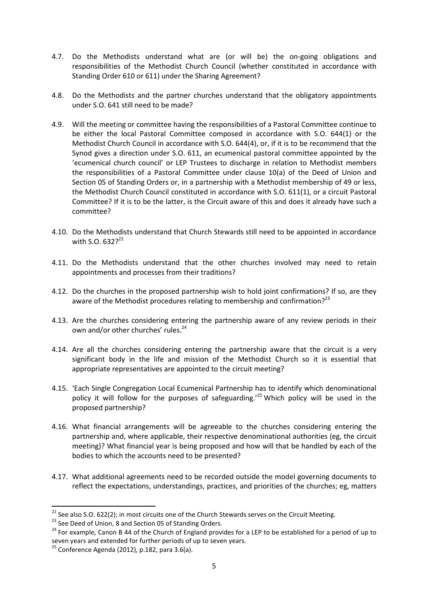- 4.7. Do the Methodists understand what are (or will be) the on-going obligations and responsibilities of the Methodist Church Council (whether constituted in accordance with Standing Order 610 or 611) under the Sharing Agreement?
- 4.8. Do the Methodists and the partner churches understand that the obligatory appointments under S.O. 641 still need to be made?
- 4.9. Will the meeting or committee having the responsibilities of a Pastoral Committee continue to be either the local Pastoral Committee composed in accordance with S.O. 644(1) or the Methodist Church Council in accordance with S.O. 644(4), or, if it is to be recommend that the Synod gives a direction under S.O. 611, an ecumenical pastoral committee appointed by the 'ecumenical church council' or LEP Trustees to discharge in relation to Methodist members the responsibilities of a Pastoral Committee under clause 10(a) of the Deed of Union and Section 05 of Standing Orders or, in a partnership with a Methodist membership of 49 or less, the Methodist Church Council constituted in accordance with S.O. 611(1), or a circuit Pastoral Committee? If it is to be the latter, is the Circuit aware of this and does it already have such a committee?
- 4.10. Do the Methodists understand that Church Stewards still need to be appointed in accordance with S.O.  $6322^{22}$
- 4.11. Do the Methodists understand that the other churches involved may need to retain appointments and processes from their traditions?
- 4.12. Do the churches in the proposed partnership wish to hold joint confirmations? If so, are they aware of the Methodist procedures relating to membership and confirmation?<sup>23</sup>
- 4.13. Are the churches considering entering the partnership aware of any review periods in their own and/or other churches' rules.<sup>24</sup>
- 4.14. Are all the churches considering entering the partnership aware that the circuit is a very significant body in the life and mission of the Methodist Church so it is essential that appropriate representatives are appointed to the circuit meeting?
- 4.15. 'Each Single Congregation Local Ecumenical Partnership has to identify which denominational policy it will follow for the purposes of safeguarding.<sup>25</sup> Which policy will be used in the proposed partnership?
- 4.16. What financial arrangements will be agreeable to the churches considering entering the partnership and, where applicable, their respective denominational authorities (eg, the circuit meeting)? What financial year is being proposed and how will that be handled by each of the bodies to which the accounts need to be presented?
- 4.17. What additional agreements need to be recorded outside the model governing documents to reflect the expectations, understandings, practices, and priorities of the churches; eg, matters

l

<sup>&</sup>lt;sup>22</sup> See also S.O. 622(2); in most circuits one of the Church Stewards serves on the Circuit Meeting.

<sup>&</sup>lt;sup>23</sup> See Deed of Union, 8 and Section 05 of Standing Orders.

<sup>&</sup>lt;sup>24</sup> For example, Canon B 44 of the Church of England provides for a LEP to be established for a period of up to seven years and extended for further periods of up to seven years.

<sup>25</sup> Conference Agenda (2012), p.182, para 3.6(a).